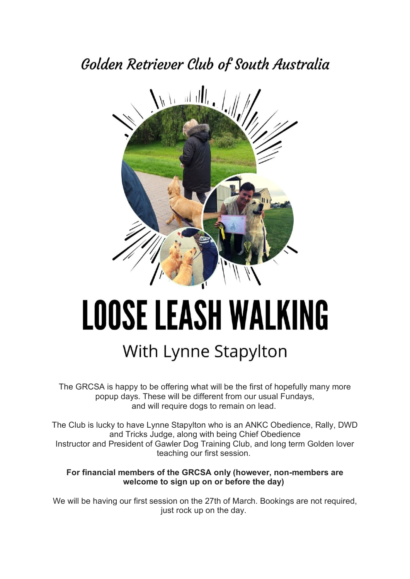# Golden Retriever Club of South Australia



# LOOSE LEASH WALKING

# With Lynne Stapylton

The GRCSA is happy to be offering what will be the first of hopefully many more popup days. These will be different from our usual Fundays, and will require dogs to remain on lead.

The Club is lucky to have Lynne Stapylton who is an ANKC Obedience, Rally, DWD and Tricks Judge, along with being Chief Obedience Instructor and President of Gawler Dog Training Club, and long term Golden lover teaching our first session.

#### **For financial members of the GRCSA only (however, non-members are welcome to sign up on or before the day)**

We will be having our first session on the 27th of March. Bookings are not required, just rock up on the day.